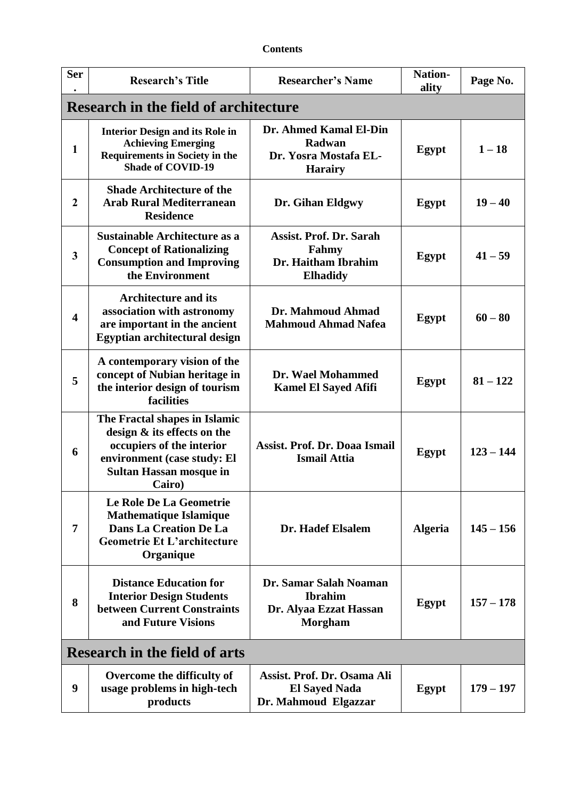| <b>Contents</b> |
|-----------------|
|-----------------|

| <b>Ser</b>                                   | <b>Research's Title</b>                                                                                                                                              | <b>Researcher's Name</b>                                                             | <b>Nation-</b><br>ality | Page No.    |  |
|----------------------------------------------|----------------------------------------------------------------------------------------------------------------------------------------------------------------------|--------------------------------------------------------------------------------------|-------------------------|-------------|--|
| <b>Research in the field of architecture</b> |                                                                                                                                                                      |                                                                                      |                         |             |  |
| $\mathbf{1}$                                 | <b>Interior Design and its Role in</b><br><b>Achieving Emerging</b><br><b>Requirements in Society in the</b><br><b>Shade of COVID-19</b>                             | Dr. Ahmed Kamal El-Din<br>Radwan<br>Dr. Yosra Mostafa EL-<br><b>Harairy</b>          | Egypt                   | $1 - 18$    |  |
| $\boldsymbol{2}$                             | <b>Shade Architecture of the</b><br><b>Arab Rural Mediterranean</b><br><b>Residence</b>                                                                              | Dr. Gihan Eldgwy                                                                     | Egypt                   | $19 - 40$   |  |
| 3                                            | Sustainable Architecture as a<br><b>Concept of Rationalizing</b><br><b>Consumption and Improving</b><br>the Environment                                              | <b>Assist. Prof. Dr. Sarah</b><br>Fahmy<br>Dr. Haitham Ibrahim<br><b>Elhadidy</b>    | Egypt                   | $41 - 59$   |  |
| $\overline{\mathbf{4}}$                      | <b>Architecture and its</b><br>association with astronomy<br>are important in the ancient<br>Egyptian architectural design                                           | Dr. Mahmoud Ahmad<br><b>Mahmoud Ahmad Nafea</b>                                      | Egypt                   | $60 - 80$   |  |
| 5                                            | A contemporary vision of the<br>concept of Nubian heritage in<br>the interior design of tourism<br>facilities                                                        | Dr. Wael Mohammed<br><b>Kamel El Sayed Afifi</b>                                     | <b>Egypt</b>            | $81 - 122$  |  |
| 6                                            | The Fractal shapes in Islamic<br>design & its effects on the<br>occupiers of the interior<br>environment (case study: El<br><b>Sultan Hassan mosque in</b><br>Cairo) | <b>Assist. Prof. Dr. Doaa Ismail</b><br><b>Ismail Attia</b>                          | Egypt                   | $123 - 144$ |  |
| 7                                            | Le Role De La Geometrie<br><b>Mathematique Islamique</b><br>Dans La Creation De La<br><b>Geometrie Et L'architecture</b><br>Organique                                | Dr. Hadef Elsalem                                                                    | <b>Algeria</b>          | $145 - 156$ |  |
| 8                                            | <b>Distance Education for</b><br><b>Interior Design Students</b><br><b>between Current Constraints</b><br>and Future Visions                                         | Dr. Samar Salah Noaman<br><b>Ibrahim</b><br>Dr. Alyaa Ezzat Hassan<br><b>Morgham</b> | Egypt                   | $157 - 178$ |  |
| <b>Research in the field of arts</b>         |                                                                                                                                                                      |                                                                                      |                         |             |  |
| 9                                            | Overcome the difficulty of<br>usage problems in high-tech<br>products                                                                                                | Assist. Prof. Dr. Osama Ali<br><b>El Sayed Nada</b><br>Dr. Mahmoud Elgazzar          | Egypt                   | $179 - 197$ |  |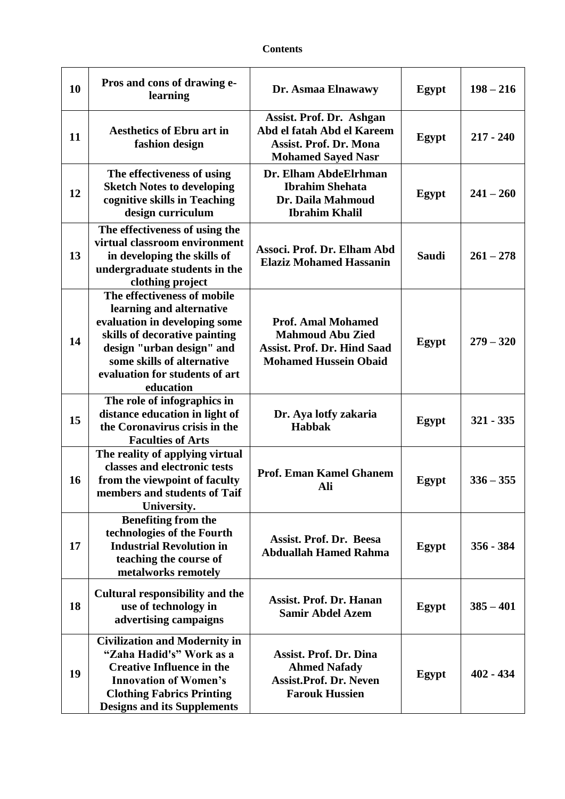| 10 | Pros and cons of drawing e-<br>learning                                                                                                                                                                                             | Dr. Asmaa Elnawawy                                                                                                         | Egypt        | $198 - 216$ |
|----|-------------------------------------------------------------------------------------------------------------------------------------------------------------------------------------------------------------------------------------|----------------------------------------------------------------------------------------------------------------------------|--------------|-------------|
| 11 | <b>Aesthetics of Ebru art in</b><br>fashion design                                                                                                                                                                                  | Assist. Prof. Dr. Ashgan<br>Abd el fatah Abd el Kareem<br><b>Assist. Prof. Dr. Mona</b><br><b>Mohamed Sayed Nasr</b>       | Egypt        | $217 - 240$ |
| 12 | The effectiveness of using<br><b>Sketch Notes to developing</b><br>cognitive skills in Teaching<br>design curriculum                                                                                                                | Dr. Elham AbdeElrhman<br><b>Ibrahim Shehata</b><br>Dr. Daila Mahmoud<br><b>Ibrahim Khalil</b>                              | Egypt        | $241 - 260$ |
| 13 | The effectiveness of using the<br>virtual classroom environment<br>in developing the skills of<br>undergraduate students in the<br>clothing project                                                                                 | Associ. Prof. Dr. Elham Abd<br><b>Elaziz Mohamed Hassanin</b>                                                              | <b>Saudi</b> | $261 - 278$ |
| 14 | The effectiveness of mobile<br>learning and alternative<br>evaluation in developing some<br>skills of decorative painting<br>design "urban design" and<br>some skills of alternative<br>evaluation for students of art<br>education | <b>Prof. Amal Mohamed</b><br><b>Mahmoud Abu Zied</b><br><b>Assist. Prof. Dr. Hind Saad</b><br><b>Mohamed Hussein Obaid</b> | Egypt        | $279 - 320$ |
| 15 | The role of infographics in<br>distance education in light of<br>the Coronavirus crisis in the<br><b>Faculties of Arts</b>                                                                                                          | Dr. Aya lotfy zakaria<br><b>Habbak</b>                                                                                     | <b>Egypt</b> | $321 - 335$ |
| 16 | The reality of applying virtual<br>classes and electronic tests<br>from the viewpoint of faculty<br>members and students of Taif<br>University.                                                                                     | <b>Prof. Eman Kamel Ghanem</b><br>Ali                                                                                      | Egypt        | $336 - 355$ |
| 17 | <b>Benefiting from the</b><br>technologies of the Fourth<br><b>Industrial Revolution in</b><br>teaching the course of<br>metalworks remotely                                                                                        | Assist. Prof. Dr. Beesa<br><b>Abduallah Hamed Rahma</b>                                                                    | Egypt        | $356 - 384$ |
| 18 | <b>Cultural responsibility and the</b><br>use of technology in<br>advertising campaigns                                                                                                                                             | <b>Assist. Prof. Dr. Hanan</b><br><b>Samir Abdel Azem</b>                                                                  | Egypt        | $385 - 401$ |
| 19 | <b>Civilization and Modernity in</b><br>"Zaha Hadid's" Work as a<br><b>Creative Influence in the</b><br><b>Innovation of Women's</b><br><b>Clothing Fabrics Printing</b><br><b>Designs and its Supplements</b>                      | <b>Assist. Prof. Dr. Dina</b><br><b>Ahmed Nafady</b><br><b>Assist.Prof. Dr. Neven</b><br><b>Farouk Hussien</b>             | Egypt        | $402 - 434$ |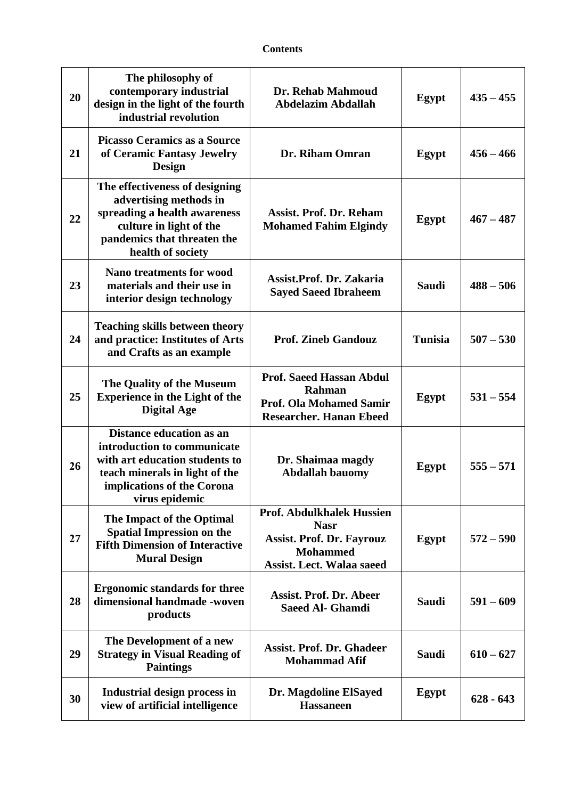| 20 | The philosophy of<br>contemporary industrial<br>design in the light of the fourth<br>industrial revolution                                                                         | Dr. Rehab Mahmoud<br><b>Abdelazim Abdallah</b>                                                                                             | Egypt          | $435 - 455$ |
|----|------------------------------------------------------------------------------------------------------------------------------------------------------------------------------------|--------------------------------------------------------------------------------------------------------------------------------------------|----------------|-------------|
| 21 | <b>Picasso Ceramics as a Source</b><br>of Ceramic Fantasy Jewelry<br><b>Design</b>                                                                                                 | Dr. Riham Omran                                                                                                                            | Egypt          | $456 - 466$ |
| 22 | The effectiveness of designing<br>advertising methods in<br>spreading a health awareness<br>culture in light of the<br>pandemics that threaten the<br>health of society            | <b>Assist. Prof. Dr. Reham</b><br><b>Mohamed Fahim Elgindy</b>                                                                             | Egypt          | $467 - 487$ |
| 23 | <b>Nano treatments for wood</b><br>materials and their use in<br>interior design technology                                                                                        | Assist.Prof. Dr. Zakaria<br><b>Sayed Saeed Ibraheem</b>                                                                                    | <b>Saudi</b>   | $488 - 506$ |
| 24 | <b>Teaching skills between theory</b><br>and practice: Institutes of Arts<br>and Crafts as an example                                                                              | <b>Prof. Zineb Gandouz</b>                                                                                                                 | <b>Tunisia</b> | $507 - 530$ |
| 25 | The Quality of the Museum<br><b>Experience in the Light of the</b><br><b>Digital Age</b>                                                                                           | <b>Prof. Saeed Hassan Abdul</b><br>Rahman<br><b>Prof. Ola Mohamed Samir</b><br><b>Researcher. Hanan Ebeed</b>                              | <b>Egypt</b>   | $531 - 554$ |
| 26 | <b>Distance education as an</b><br>introduction to communicate<br>with art education students to<br>teach minerals in light of the<br>implications of the Corona<br>virus epidemic | Dr. Shaimaa magdy<br><b>Abdallah bauomy</b>                                                                                                | Egypt          | $555 - 571$ |
| 27 | The Impact of the Optimal<br><b>Spatial Impression on the</b><br><b>Fifth Dimension of Interactive</b><br><b>Mural Design</b>                                                      | <b>Prof. Abdulkhalek Hussien</b><br><b>Nasr</b><br><b>Assist. Prof. Dr. Fayrouz</b><br><b>Mohammed</b><br><b>Assist. Lect. Walaa saeed</b> | Egypt          | $572 - 590$ |
| 28 | <b>Ergonomic standards for three</b><br>dimensional handmade -woven<br>products                                                                                                    | <b>Assist. Prof. Dr. Abeer</b><br><b>Saeed Al- Ghamdi</b>                                                                                  | <b>Saudi</b>   | $591 - 609$ |
| 29 | The Development of a new<br><b>Strategy in Visual Reading of</b><br><b>Paintings</b>                                                                                               | <b>Assist. Prof. Dr. Ghadeer</b><br><b>Mohammad Afif</b>                                                                                   | <b>Saudi</b>   | $610 - 627$ |
| 30 | Industrial design process in<br>view of artificial intelligence                                                                                                                    | Dr. Magdoline ElSayed<br><b>Hassaneen</b>                                                                                                  | Egypt          | $628 - 643$ |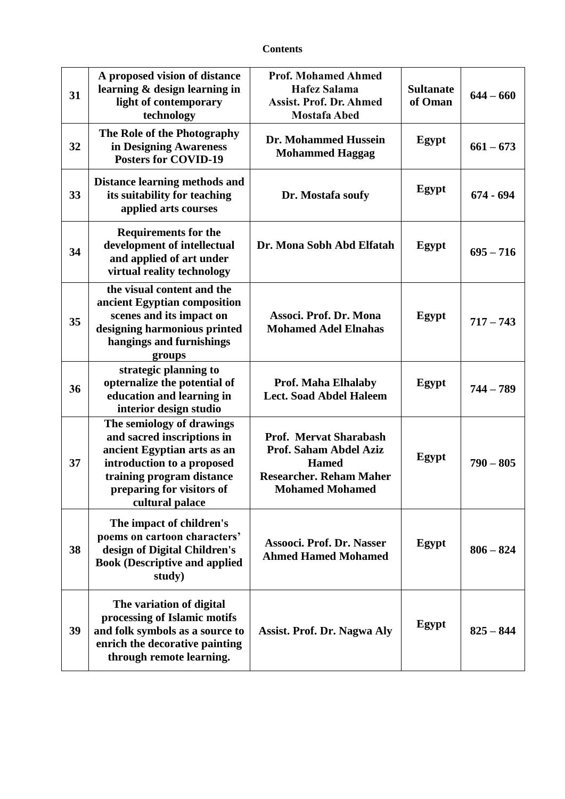| 31 | A proposed vision of distance<br>learning & design learning in<br>light of contemporary<br>technology                                                                                             | <b>Prof. Mohamed Ahmed</b><br><b>Hafez Salama</b><br><b>Assist. Prof. Dr. Ahmed</b><br><b>Mostafa Abed</b>                          | <b>Sultanate</b><br>of Oman | $644 - 660$ |
|----|---------------------------------------------------------------------------------------------------------------------------------------------------------------------------------------------------|-------------------------------------------------------------------------------------------------------------------------------------|-----------------------------|-------------|
| 32 | The Role of the Photography<br>in Designing Awareness<br><b>Posters for COVID-19</b>                                                                                                              | Dr. Mohammed Hussein<br><b>Mohammed Haggag</b>                                                                                      | Egypt                       | $661 - 673$ |
| 33 | <b>Distance learning methods and</b><br>its suitability for teaching<br>applied arts courses                                                                                                      | Dr. Mostafa soufy                                                                                                                   | Egypt                       | $674 - 694$ |
| 34 | <b>Requirements for the</b><br>development of intellectual<br>and applied of art under<br>virtual reality technology                                                                              | Dr. Mona Sobh Abd Elfatah                                                                                                           | Egypt                       | $695 - 716$ |
| 35 | the visual content and the<br>ancient Egyptian composition<br>scenes and its impact on<br>designing harmonious printed<br>hangings and furnishings<br>groups                                      | Associ. Prof. Dr. Mona<br><b>Mohamed Adel Elnahas</b>                                                                               | Egypt                       | $717 - 743$ |
| 36 | strategic planning to<br>opternalize the potential of<br>education and learning in<br>interior design studio                                                                                      | <b>Prof. Maha Elhalaby</b><br><b>Lect. Soad Abdel Haleem</b>                                                                        | Egypt                       | $744 - 789$ |
| 37 | The semiology of drawings<br>and sacred inscriptions in<br>ancient Egyptian arts as an<br>introduction to a proposed<br>training program distance<br>preparing for visitors of<br>cultural palace | <b>Prof. Mervat Sharabash</b><br>Prof. Saham Abdel Aziz<br><b>Hamed</b><br><b>Researcher. Reham Maher</b><br><b>Mohamed Mohamed</b> | Egypt                       | $790 - 805$ |
| 38 | The impact of children's<br>poems on cartoon characters'<br>design of Digital Children's<br><b>Book (Descriptive and applied</b><br>study)                                                        | Assooci. Prof. Dr. Nasser<br><b>Ahmed Hamed Mohamed</b>                                                                             | Egypt                       | $806 - 824$ |
| 39 | The variation of digital<br>processing of Islamic motifs<br>and folk symbols as a source to<br>enrich the decorative painting<br>through remote learning.                                         | <b>Assist. Prof. Dr. Nagwa Aly</b>                                                                                                  | Egypt                       | $825 - 844$ |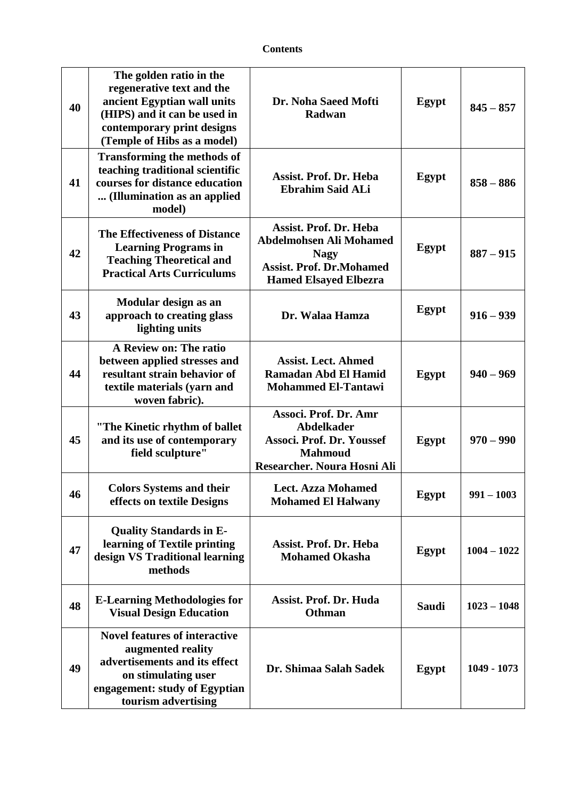| 40 | The golden ratio in the<br>regenerative text and the<br>ancient Egyptian wall units<br>(HIPS) and it can be used in<br>contemporary print designs<br>(Temple of Hibs as a model) | Dr. Noha Saeed Mofti<br>Radwan                                                                                                                    | Egypt        | $845 - 857$   |
|----|----------------------------------------------------------------------------------------------------------------------------------------------------------------------------------|---------------------------------------------------------------------------------------------------------------------------------------------------|--------------|---------------|
| 41 | <b>Transforming the methods of</b><br>teaching traditional scientific<br>courses for distance education<br>(Illumination as an applied<br>model)                                 | <b>Assist. Prof. Dr. Heba</b><br><b>Ebrahim Said ALi</b>                                                                                          | Egypt        | $858 - 886$   |
| 42 | <b>The Effectiveness of Distance</b><br><b>Learning Programs in</b><br><b>Teaching Theoretical and</b><br><b>Practical Arts Curriculums</b>                                      | <b>Assist. Prof. Dr. Heba</b><br><b>Abdelmohsen Ali Mohamed</b><br><b>Nagy</b><br><b>Assist. Prof. Dr.Mohamed</b><br><b>Hamed Elsayed Elbezra</b> | Egypt        | $887 - 915$   |
| 43 | Modular design as an<br>approach to creating glass<br>lighting units                                                                                                             | Dr. Walaa Hamza                                                                                                                                   | Egypt        | $916 - 939$   |
| 44 | A Review on: The ratio<br>between applied stresses and<br>resultant strain behavior of<br>textile materials (yarn and<br>woven fabric).                                          | <b>Assist. Lect. Ahmed</b><br>Ramadan Abd El Hamid<br><b>Mohammed El-Tantawi</b>                                                                  | Egypt        | $940 - 969$   |
| 45 | "The Kinetic rhythm of ballet<br>and its use of contemporary<br>field sculpture"                                                                                                 | Associ. Prof. Dr. Amr<br><b>Abdelkader</b><br>Associ. Prof. Dr. Youssef<br><b>Mahmoud</b><br>Researcher. Noura Hosni Ali                          | <b>Egypt</b> | $970 - 990$   |
| 46 | <b>Colors Systems and their</b><br>effects on textile Designs                                                                                                                    | <b>Lect. Azza Mohamed</b><br><b>Mohamed El Halwany</b>                                                                                            | Egypt        | $991 - 1003$  |
| 47 | <b>Quality Standards in E-</b><br>learning of Textile printing<br>design VS Traditional learning<br>methods                                                                      | <b>Assist. Prof. Dr. Heba</b><br><b>Mohamed Okasha</b>                                                                                            | Egypt        | $1004 - 1022$ |
| 48 | <b>E-Learning Methodologies for</b><br><b>Visual Design Education</b>                                                                                                            | <b>Assist. Prof. Dr. Huda</b><br><b>Othman</b>                                                                                                    | <b>Saudi</b> | $1023 - 1048$ |
| 49 | <b>Novel features of interactive</b><br>augmented reality<br>advertisements and its effect<br>on stimulating user<br>engagement: study of Egyptian<br>tourism advertising        | Dr. Shimaa Salah Sadek                                                                                                                            | Egypt        | 1049 - 1073   |